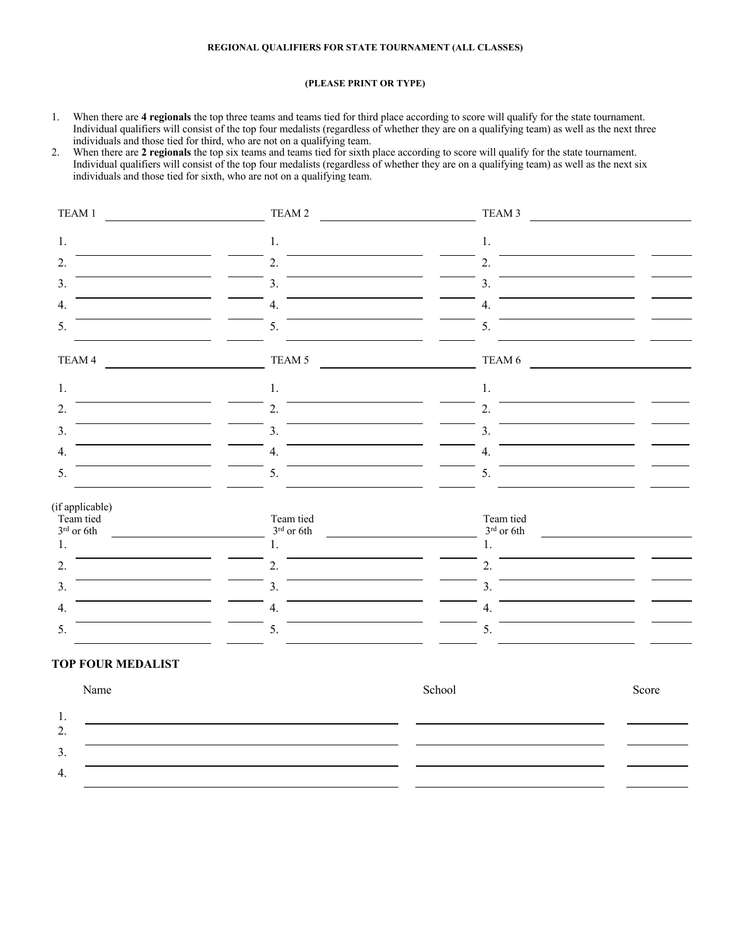## **REGIONAL QUALIFIERS FOR STATE TOURNAMENT (ALL CLASSES)**

## **(PLEASE PRINT OR TYPE)**

1. When there are **4 regionals** the top three teams and teams tied for third place according to score will qualify for the state tournament. Individual qualifiers will consist of the top four medalists (regardless of whether they are on a qualifying team) as well as the next three individuals and those tied for third, who are not on a qualifying team.

2. When there are **2 regionals** the top six teams and teams tied for sixth place according to score will qualify for the state tournament. Individual qualifiers will consist of the top four medalists (regardless of whether they are on a qualifying team) as well as the next six individuals and those tied for sixth, who are not on a qualifying team.

| TEAM 1                                                      | TEAM 2                                   | TEAM 3                                   |       |
|-------------------------------------------------------------|------------------------------------------|------------------------------------------|-------|
| 1.                                                          | $1.$                                     | $1.$                                     |       |
| 2.                                                          | 2.                                       | 2.                                       |       |
| 3.                                                          | 3.                                       | 3.                                       |       |
| 4.                                                          | 4.                                       | 4.                                       |       |
| 5.                                                          | 5.                                       | 5.                                       |       |
| TEAM 4                                                      | TEAM 5                                   | TEAM 6                                   |       |
| 1.                                                          | 1.                                       | 1.                                       |       |
| 2.                                                          | $\overline{2}$ .                         | 2.                                       |       |
| 3.                                                          | $\overline{3}$ .                         | 3.                                       |       |
| 4.                                                          | 4.                                       | 4.                                       |       |
| 5.                                                          | 5.                                       | 5.                                       |       |
| (if applicable)<br>Team tied<br>$3^{\rm rd}$ or $6{\rm th}$ | Team tied<br>$3^{\rm rd}$ or $6{\rm th}$ | Team tied<br>$3^{\rm rd}$ or $6{\rm th}$ |       |
| 1.                                                          | 1.                                       | 1.                                       |       |
| 2.                                                          | 2.                                       | 2.                                       |       |
| 3.                                                          | 3.                                       | 3.                                       |       |
| 4.                                                          | 4.                                       | 4.                                       |       |
| 5.                                                          | 5.                                       | 5.                                       |       |
| <b>TOP FOUR MEDALIST</b>                                    |                                          |                                          |       |
| Name                                                        |                                          | School                                   | Score |
| $\mathbf{1}$ .                                              |                                          |                                          |       |

2. 3. 4.